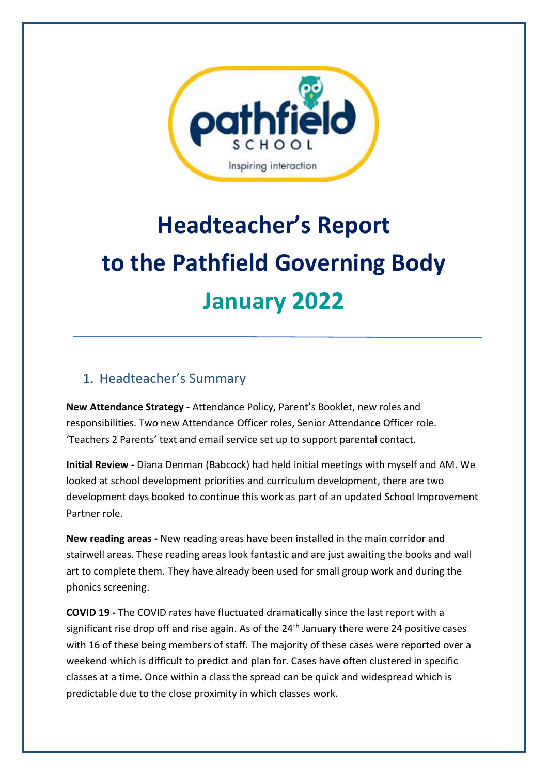

# **Headteacher's Report to the Pathfield Governing Body January 2022**

### 1. Headteacher's Summary

**New Attendance Strategy -** Attendance Policy, Parent's Booklet, new roles and responsibilities. Two new Attendance Officer roles, Senior Attendance Officer role. 'Teachers 2 Parents' text and email service set up to support parental contact.

**Initial Review -** Diana Denman (Babcock) had held initial meetings with myself and AM. We looked at school development priorities and curriculum development, there are two development days booked to continue this work as part of an updated School Improvement Partner role.

**New reading areas -** New reading areas have been installed in the main corridor and stairwell areas. These reading areas look fantastic and are just awaiting the books and wall art to complete them. They have already been used for small group work and during the phonics screening.

**COVID 19 -** The COVID rates have fluctuated dramatically since the last report with a significant rise drop off and rise again. As of the  $24<sup>th</sup>$  January there were 24 positive cases with 16 of these being members of staff. The majority of these cases were reported over a weekend which is difficult to predict and plan for. Cases have often clustered in specific classes at a time. Once within a class the spread can be quick and widespread which is predictable due to the close proximity in which classes work.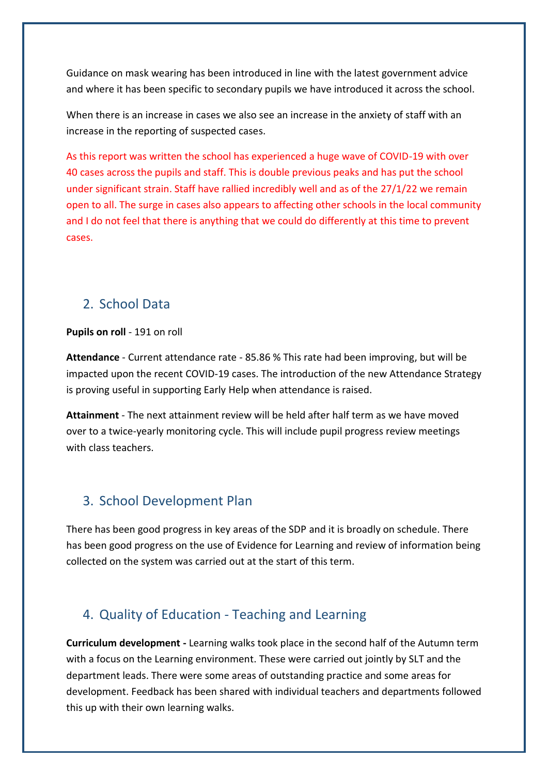Guidance on mask wearing has been introduced in line with the latest government advice and where it has been specific to secondary pupils we have introduced it across the school.

When there is an increase in cases we also see an increase in the anxiety of staff with an increase in the reporting of suspected cases.

As this report was written the school has experienced a huge wave of COVID-19 with over 40 cases across the pupils and staff. This is double previous peaks and has put the school under significant strain. Staff have rallied incredibly well and as of the 27/1/22 we remain open to all. The surge in cases also appears to affecting other schools in the local community and I do not feel that there is anything that we could do differently at this time to prevent cases.

#### 2. School Data

#### **Pupils on roll** - 191 on roll

**Attendance** - Current attendance rate - 85.86 % This rate had been improving, but will be impacted upon the recent COVID-19 cases. The introduction of the new Attendance Strategy is proving useful in supporting Early Help when attendance is raised.

**Attainment** - The next attainment review will be held after half term as we have moved over to a twice-yearly monitoring cycle. This will include pupil progress review meetings with class teachers.

#### 3. School Development Plan

There has been good progress in key areas of the SDP and it is broadly on schedule. There has been good progress on the use of Evidence for Learning and review of information being collected on the system was carried out at the start of this term.

#### 4. Quality of Education - Teaching and Learning

**Curriculum development -** Learning walks took place in the second half of the Autumn term with a focus on the Learning environment. These were carried out jointly by SLT and the department leads. There were some areas of outstanding practice and some areas for development. Feedback has been shared with individual teachers and departments followed this up with their own learning walks.